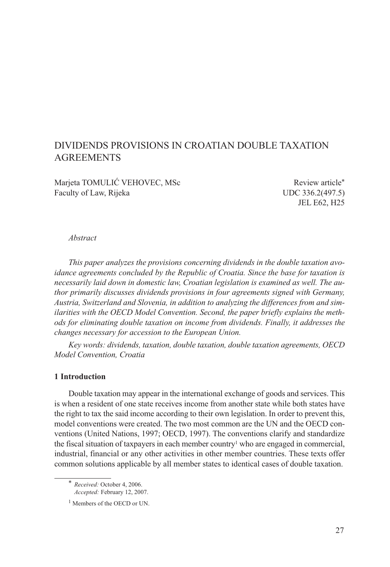# DIVIDENDS PROVISIONS IN CROATIAN DOUBLE TAXATION AGREEMENTS

Marjeta TOMULIĆ VEHOVEC, MSc Review article\* Faculty of Law, Rijeka UDC 336.2(497.5)

JEL E62, H25

#### *Abstract*

*This paper analyzes the provisions concerning dividends in the double taxation avoidance agreements concluded by the Republic of Croatia. Since the base for taxation is necessarily laid down in domestic law, Croatian legislation is examined as well. The author primarily discusses dividends provisions in four agreements signed with Germany, Austria, Switzerland and Slovenia, in addition to analyzing the differences from and similarities with the OECD Model Convention. Second, the paper briefly explains the methods for eliminating double taxation on income from dividends. Finally, it addresses the changes necessary for accession to the European Union.* 

*Key words: dividends, taxation, double taxation, double taxation agreements, OECD Model Convention, Croatia*

#### **1 Introduction**

Double taxation may appear in the international exchange of goods and services. This is when a resident of one state receives income from another state while both states have the right to tax the said income according to their own legislation. In order to prevent this, model conventions were created. The two most common are the UN and the OECD conventions (United Nations, 1997; OECD, 1997). The conventions clarify and standardize the fiscal situation of taxpayers in each member country<sup>1</sup> who are engaged in commercial, industrial, financial or any other activities in other member countries. These texts offer common solutions applicable by all member states to identical cases of double taxation.

\* *Received:* October 4, 2006. *Accepted:* February 12, 2007.

<sup>&</sup>lt;sup>1</sup> Members of the OECD or UN.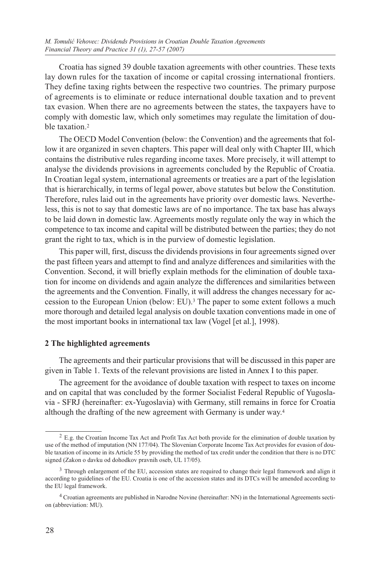Croatia has signed 39 double taxation agreements with other countries. These texts lay down rules for the taxation of income or capital crossing international frontiers. They define taxing rights between the respective two countries. The primary purpose of agreements is to eliminate or reduce international double taxation and to prevent tax evasion. When there are no agreements between the states, the taxpayers have to comply with domestic law, which only sometimes may regulate the limitation of double taxation.2

The OECD Model Convention (below: the Convention) and the agreements that follow it are organized in seven chapters. This paper will deal only with Chapter III, which contains the distributive rules regarding income taxes. More precisely, it will attempt to analyse the dividends provisions in agreements concluded by the Republic of Croatia. In Croatian legal system, international agreements or treaties are a part of the legislation that is hierarchically, in terms of legal power, above statutes but below the Constitution. Therefore, rules laid out in the agreements have priority over domestic laws. Nevertheless, this is not to say that domestic laws are of no importance. The tax base has always to be laid down in domestic law. Agreements mostly regulate only the way in which the competence to tax income and capital will be distributed between the parties; they do not grant the right to tax, which is in the purview of domestic legislation.

This paper will, first, discuss the dividends provisions in four agreements signed over the past fifteen years and attempt to find and analyze differences and similarities with the Convention. Second, it will briefly explain methods for the elimination of double taxation for income on dividends and again analyze the differences and similarities between the agreements and the Convention. Finally, it will address the changes necessary for accession to the European Union (below: EU).3 The paper to some extent follows a much more thorough and detailed legal analysis on double taxation conventions made in one of the most important books in international tax law (Vogel [et al.], 1998).

#### **2 The highlighted agreements**

The agreements and their particular provisions that will be discussed in this paper are given in Table 1. Texts of the relevant provisions are listed in Annex I to this paper.

The agreement for the avoidance of double taxation with respect to taxes on income and on capital that was concluded by the former Socialist Federal Republic of Yugoslavia - SFRJ (hereinafter: ex-Yugoslavia) with Germany, still remains in force for Croatia although the drafting of the new agreement with Germany is under way.4

<sup>2</sup> E.g. the Croatian Income Tax Act and Profit Tax Act both provide for the elimination of double taxation by use of the method of imputation (NN 177/04). The Slovenian Corporate Income Tax Act provides for evasion of double taxation of income in its Article 55 by providing the method of tax credit under the condition that there is no DTC signed (Zakon o davku od dohodkov pravnih oseb, UL 17/05).

<sup>&</sup>lt;sup>3</sup> Through enlargement of the EU, accession states are required to change their legal framework and align it according to guidelines of the EU. Croatia is one of the accession states and its DTCs will be amended according to the EU legal framework.

<sup>4</sup> Croatian agreements are published in Narodne Novine (hereinafter: NN) in the International Agreements section (abbreviation: MU).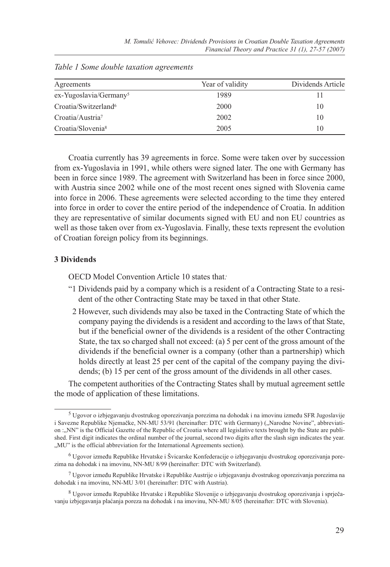| Agreements                         | Year of validity | Dividends Article |
|------------------------------------|------------------|-------------------|
| ex-Yugoslavia/Germany <sup>5</sup> | 1989             |                   |
| Croatia/Switzerland <sup>6</sup>   | 2000             | 10                |
| Croatia/Austria <sup>7</sup>       | 2002             | 10                |
| Croatia/Slovenia <sup>8</sup>      | 2005             | 10                |

*Table 1 Some double taxation agreements*

Croatia currently has 39 agreements in force. Some were taken over by succession from ex-Yugoslavia in 1991, while others were signed later. The one with Germany has been in force since 1989. The agreement with Switzerland has been in force since 2000, with Austria since 2002 while one of the most recent ones signed with Slovenia came into force in 2006. These agreements were selected according to the time they entered into force in order to cover the entire period of the independence of Croatia. In addition they are representative of similar documents signed with EU and non EU countries as well as those taken over from ex-Yugoslavia. Finally, these texts represent the evolution of Croatian foreign policy from its beginnings.

# **3 Dividends**

OECD Model Convention Article 10 states that*:*

- "1 Dividends paid by a company which is a resident of a Contracting State to a resident of the other Contracting State may be taxed in that other State.
- 2 However, such dividends may also be taxed in the Contracting State of which the company paying the dividends is a resident and according to the laws of that State, but if the beneficial owner of the dividends is a resident of the other Contracting State, the tax so charged shall not exceed: (a) 5 per cent of the gross amount of the dividends if the beneficial owner is a company (other than a partnership) which holds directly at least 25 per cent of the capital of the company paying the dividends; (b) 15 per cent of the gross amount of the dividends in all other cases.

The competent authorities of the Contracting States shall by mutual agreement settle the mode of application of these limitations.

<sup>5</sup> Ugovor o izbjegavanju dvostrukog oporezivanja porezima na dohodak i na imovinu između SFR Jugoslavije i Savezne Republike Njemačke, NN-MU 53/91 (hereinafter: DTC with Germany) ("Narodne Novine", abbreviation :..NN" is the Official Gazette of the Republic of Croatia where all legislative texts brought by the State are published. First digit indicates the ordinal number of the journal, second two digits after the slash sign indicates the year. "MU" is the official abbreviation for the International Agreements section).

<sup>6</sup> Ugovor između Republike Hrvatske i Švicarske Konfederacije o izbjegavanju dvostrukog oporezivanja porezima na dohodak i na imovinu, NN-MU 8/99 (hereinafter: DTC with Switzerland).

 $7$  Ugovor između Republike Hrvatske i Republike Austrije o izbjegavanju dvostrukog oporezivanja porezima na dohodak i na imovinu, NN-MU 3/01 (hereinafter: DTC with Austria).

<sup>8</sup> Ugovor između Republike Hrvatske i Republike Slovenije o izbjegavanju dvostrukog oporezivanja i sprječavanju izbjegavanja plaćanja poreza na dohodak i na imovinu, NN-MU 8/05 (hereinafter: DTC with Slovenia).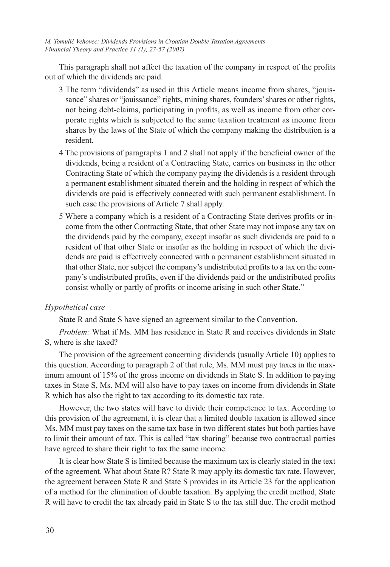This paragraph shall not affect the taxation of the company in respect of the profits out of which the dividends are paid.

- 3 The term "dividends" as used in this Article means income from shares, "jouissance" shares or "jouissance" rights, mining shares, founders' shares or other rights, not being debt-claims, participating in profits, as well as income from other corporate rights which is subjected to the same taxation treatment as income from shares by the laws of the State of which the company making the distribution is a resident.
- 4 The provisions of paragraphs 1 and 2 shall not apply if the beneficial owner of the dividends, being a resident of a Contracting State, carries on business in the other Contracting State of which the company paying the dividends is a resident through a permanent establishment situated therein and the holding in respect of which the dividends are paid is effectively connected with such permanent establishment. In such case the provisions of Article 7 shall apply.
- 5 Where a company which is a resident of a Contracting State derives profits or income from the other Contracting State, that other State may not impose any tax on the dividends paid by the company, except insofar as such dividends are paid to a resident of that other State or insofar as the holding in respect of which the dividends are paid is effectively connected with a permanent establishment situated in that other State, nor subject the company's undistributed profits to a tax on the company's undistributed profits, even if the dividends paid or the undistributed profits consist wholly or partly of profits or income arising in such other State."

# *Hypothetical case*

State R and State S have signed an agreement similar to the Convention.

*Problem:* What if Ms. MM has residence in State R and receives dividends in State S, where is she taxed?

The provision of the agreement concerning dividends (usually Article 10) applies to this question. According to paragraph 2 of that rule, Ms. MM must pay taxes in the maximum amount of 15% of the gross income on dividends in State S. In addition to paying taxes in State S, Ms. MM will also have to pay taxes on income from dividends in State R which has also the right to tax according to its domestic tax rate.

However, the two states will have to divide their competence to tax. According to this provision of the agreement, it is clear that a limited double taxation is allowed since Ms. MM must pay taxes on the same tax base in two different states but both parties have to limit their amount of tax. This is called "tax sharing" because two contractual parties have agreed to share their right to tax the same income.

It is clear how State S is limited because the maximum tax is clearly stated in the text of the agreement. What about State R? State R may apply its domestic tax rate. However, the agreement between State R and State S provides in its Article 23 for the application of a method for the elimination of double taxation. By applying the credit method, State R will have to credit the tax already paid in State S to the tax still due. The credit method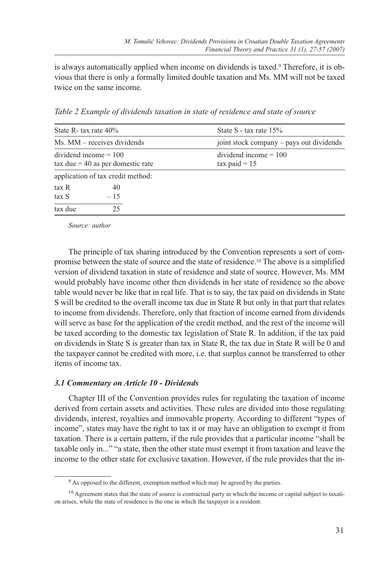is always automatically applied when income on dividends is taxed.9 Therefore, it is obvious that there is only a formally limited double taxation and Ms. MM will not be taxed twice on the same income.

*Table 2 Example of dividends taxation in state of residence and state of source*

| State R- tax rate $40\%$ |                                            | State S - tax rate $15\%$                  |
|--------------------------|--------------------------------------------|--------------------------------------------|
|                          | Ms. MM – receives dividends                | joint stock company – pays out dividends   |
| $dividend$ income = 100  | $\text{tax due} = 40$ as per domestic rate | $dividend$ income = 100<br>$tax$ paid = 15 |
|                          | application of tax credit method:          |                                            |
| tax R<br>tax S           | 40<br>$-15$                                |                                            |
| tax due                  | 25                                         |                                            |

*Source: author*

The principle of tax sharing introduced by the Convention represents a sort of compromise between the state of source and the state of residence.10 The above is a simplified version of dividend taxation in state of residence and state of source. However, Ms. MM would probably have income other then dividends in her state of residence so the above table would never be like that in real life. That is to say, the tax paid on dividends in State S will be credited to the overall income tax due in State R but only in that part that relates to income from dividends. Therefore, only that fraction of income earned from dividends will serve as base for the application of the credit method, and the rest of the income will be taxed according to the domestic tax legislation of State R. In addition, if the tax paid on dividends in State S is greater than tax in State R, the tax due in State R will be 0 and the taxpayer cannot be credited with more, i.e. that surplus cannot be transferred to other items of income tax.

#### *3.1 Commentary on Article 10 - Dividends*

Chapter III of the Convention provides rules for regulating the taxation of income derived from certain assets and activities. These rules are divided into those regulating dividends, interest, royalties and immovable property. According to different "types of income", states may have the right to tax it or may have an obligation to exempt it from taxation. There is a certain pattern, if the rule provides that a particular income "shall be taxable only in..." "a state, then the other state must exempt it from taxation and leave the income to the other state for exclusive taxation. However, if the rule provides that the in-

<sup>&</sup>lt;sup>9</sup> As opposed to the different, exemption method which may be agreed by the parties.

 $10$  Agreement states that the state of source is contractual party in which the income or capital subject to taxation arises, while the state of residence is the one in which the taxpayer is a resident.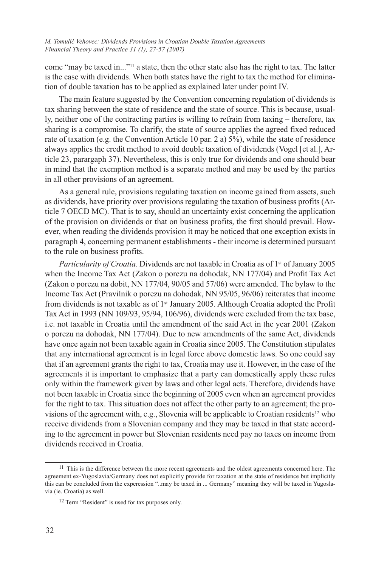come "may be taxed in..."11 a state, then the other state also has the right to tax. The latter is the case with dividends. When both states have the right to tax the method for elimination of double taxation has to be applied as explained later under point IV.

The main feature suggested by the Convention concerning regulation of dividends is tax sharing between the state of residence and the state of source. This is because, usually, neither one of the contracting parties is willing to refrain from taxing – therefore, tax sharing is a compromise. To clarify, the state of source applies the agreed fixed reduced rate of taxation (e.g. the Convention Article 10 par. 2 a) 5%), while the state of residence always applies the credit method to avoid double taxation of dividends (Vogel [et al.], Article 23, parargaph 37). Nevertheless, this is only true for dividends and one should bear in mind that the exemption method is a separate method and may be used by the parties in all other provisions of an agreement.

As a general rule, provisions regulating taxation on income gained from assets, such as dividends, have priority over provisions regulating the taxation of business profits (Article 7 OECD MC). That is to say, should an uncertainty exist concerning the application of the provision on dividends or that on business profits, the first should prevail. However, when reading the dividends provision it may be noticed that one exception exists in paragraph 4, concerning permanent establishments - their income is determined pursuant to the rule on business profits.

*Particularity of Croatia.* Dividends are not taxable in Croatia as of 1st of January 2005 when the Income Tax Act (Zakon o porezu na dohodak, NN 177/04) and Profit Tax Act (Zakon o porezu na dobit, NN 177/04, 90/05 and 57/06) were amended. The bylaw to the Income Tax Act (Pravilnik o porezu na dohodak, NN 95/05, 96/06) reiterates that income from dividends is not taxable as of 1st January 2005. Although Croatia adopted the Profit Tax Act in 1993 (NN 109/93, 95/94, 106/96), dividends were excluded from the tax base, i.e. not taxable in Croatia until the amendment of the said Act in the year 2001 (Zakon o porezu na dohodak, NN 177/04). Due to new amendments of the same Act, dividends have once again not been taxable again in Croatia since 2005. The Constitution stipulates that any international agreement is in legal force above domestic laws. So one could say that if an agreement grants the right to tax, Croatia may use it. However, in the case of the agreements it is important to emphasize that a party can domestically apply these rules only within the framework given by laws and other legal acts. Therefore, dividends have not been taxable in Croatia since the beginning of 2005 even when an agreement provides for the right to tax. This situation does not affect the other party to an agreement; the provisions of the agreement with, e.g., Slovenia will be applicable to Croatian residents<sup>12</sup> who receive dividends from a Slovenian company and they may be taxed in that state according to the agreement in power but Slovenian residents need pay no taxes on income from dividends received in Croatia.

<sup>&</sup>lt;sup>11</sup> This is the difference between the more recent agreements and the oldest agreements concerned here. The agreement ex-Yugoslavia/Germany does not explicitly provide for taxation at the state of residence but implicitly this can be concluded from the experession "..may be taxed in ... Germany" meaning they will be taxed in Yugoslavia (ie. Croatia) as well.

<sup>&</sup>lt;sup>12</sup> Term "Resident" is used for tax purposes only.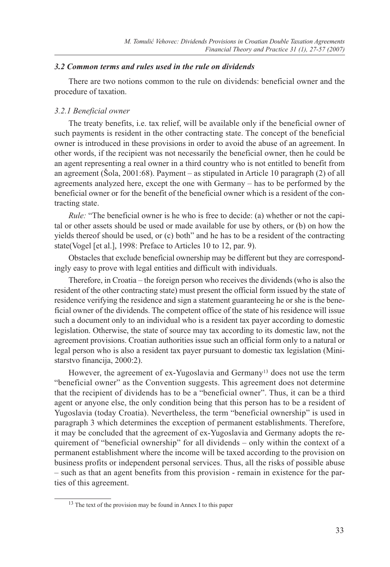## *3.2 Common terms and rules used in the rule on dividends*

There are two notions common to the rule on dividends: beneficial owner and the procedure of taxation.

## *3.2.1 Beneficial owner*

The treaty benefits, i.e. tax relief, will be available only if the beneficial owner of such payments is resident in the other contracting state. The concept of the beneficial owner is introduced in these provisions in order to avoid the abuse of an agreement. In other words, if the recipient was not necessarily the beneficial owner, then he could be an agent representing a real owner in a third country who is not entitled to benefit from an agreement (Šola, 2001:68). Payment – as stipulated in Article 10 paragraph (2) of all agreements analyzed here, except the one with Germany – has to be performed by the beneficial owner or for the benefit of the beneficial owner which is a resident of the contracting state.

*Rule:* "The beneficial owner is he who is free to decide: (a) whether or not the capital or other assets should be used or made available for use by others, or (b) on how the yields thereof should be used, or (c) both" and he has to be a resident of the contracting state(Vogel [et al.], 1998: Preface to Articles 10 to 12, par. 9).

Obstacles that exclude beneficial ownership may be different but they are correspondingly easy to prove with legal entities and difficult with individuals.

Therefore, in Croatia – the foreign person who receives the dividends (who is also the resident of the other contracting state) must present the official form issued by the state of residence verifying the residence and sign a statement guaranteeing he or she is the beneficial owner of the dividends. The competent office of the state of his residence will issue such a document only to an individual who is a resident tax payer according to domestic legislation. Otherwise, the state of source may tax according to its domestic law, not the agreement provisions. Croatian authorities issue such an official form only to a natural or legal person who is also a resident tax payer pursuant to domestic tax legislation (Ministarstvo financija, 2000:2).

However, the agreement of ex-Yugoslavia and Germany<sup>13</sup> does not use the term "beneficial owner" as the Convention suggests. This agreement does not determine that the recipient of dividends has to be a "beneficial owner". Thus, it can be a third agent or anyone else, the only condition being that this person has to be a resident of Yugoslavia (today Croatia). Nevertheless, the term "beneficial ownership" is used in paragraph 3 which determines the exception of permanent establishments. Therefore, it may be concluded that the agreement of ex-Yugoslavia and Germany adopts the requirement of "beneficial ownership" for all dividends – only within the context of a permanent establishment where the income will be taxed according to the provision on business profits or independent personal services. Thus, all the risks of possible abuse – such as that an agent benefits from this provision - remain in existence for the parties of this agreement.

<sup>&</sup>lt;sup>13</sup> The text of the provision may be found in Annex I to this paper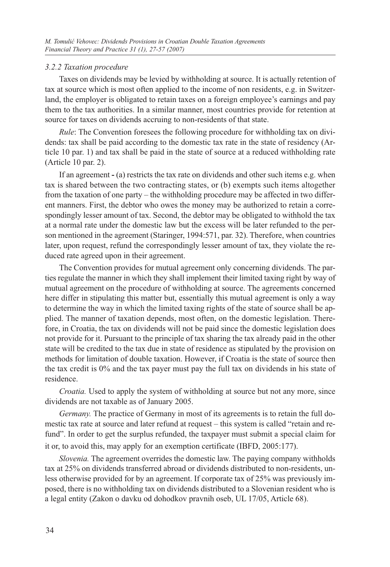## *3.2.2 Taxation procedure*

Taxes on dividends may be levied by withholding at source. It is actually retention of tax at source which is most often applied to the income of non residents, e.g. in Switzerland, the employer is obligated to retain taxes on a foreign employee's earnings and pay them to the tax authorities. In a similar manner, most countries provide for retention at source for taxes on dividends accruing to non-residents of that state.

*Rule*: The Convention foresees the following procedure for withholding tax on dividends: tax shall be paid according to the domestic tax rate in the state of residency (Article 10 par. 1) and tax shall be paid in the state of source at a reduced withholding rate (Article 10 par. 2).

If an agreement **-** (a) restricts the tax rate on dividends and other such items e.g. when tax is shared between the two contracting states, or (b) exempts such items altogether from the taxation of one party – the withholding procedure may be affected in two different manners. First, the debtor who owes the money may be authorized to retain a correspondingly lesser amount of tax. Second, the debtor may be obligated to withhold the tax at a normal rate under the domestic law but the excess will be later refunded to the person mentioned in the agreement (Staringer, 1994:571, par. 32). Therefore, when countries later, upon request, refund the correspondingly lesser amount of tax, they violate the reduced rate agreed upon in their agreement.

The Convention provides for mutual agreement only concerning dividends. The parties regulate the manner in which they shall implement their limited taxing right by way of mutual agreement on the procedure of withholding at source. The agreements concerned here differ in stipulating this matter but, essentially this mutual agreement is only a way to determine the way in which the limited taxing rights of the state of source shall be applied. The manner of taxation depends, most often, on the domestic legislation. Therefore, in Croatia, the tax on dividends will not be paid since the domestic legislation does not provide for it. Pursuant to the principle of tax sharing the tax already paid in the other state will be credited to the tax due in state of residence as stipulated by the provision on methods for limitation of double taxation. However, if Croatia is the state of source then the tax credit is 0% and the tax payer must pay the full tax on dividends in his state of residence.

*Croatia.* Used to apply the system of withholding at source but not any more, since dividends are not taxable as of January 2005.

*Germany*. The practice of Germany in most of its agreements is to retain the full domestic tax rate at source and later refund at request – this system is called "retain and refund". In order to get the surplus refunded, the taxpayer must submit a special claim for it or, to avoid this, may apply for an exemption certificate (IBFD, 2005:177).

*Slovenia.* The agreement overrides the domestic law. The paying company withholds tax at 25% on dividends transferred abroad or dividends distributed to non-residents, unless otherwise provided for by an agreement. If corporate tax of 25% was previously imposed, there is no withholding tax on dividends distributed to a Slovenian resident who is a legal entity (Zakon o davku od dohodkov pravnih oseb, UL 17/05, Article 68).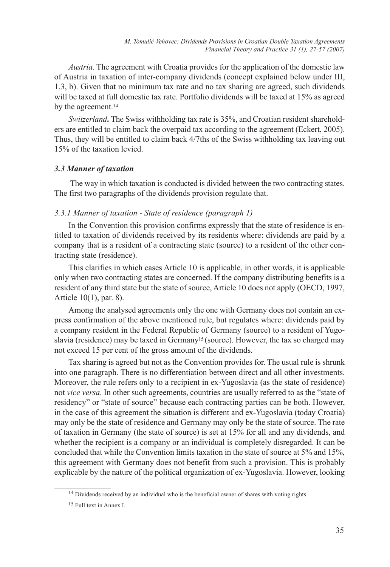*Austria*. The agreement with Croatia provides for the application of the domestic law of Austria in taxation of inter-company dividends (concept explained below under III, 1.3, b). Given that no minimum tax rate and no tax sharing are agreed, such dividends will be taxed at full domestic tax rate. Portfolio dividends will be taxed at 15% as agreed by the agreement.<sup>14</sup>

*Switzerland***.** The Swiss withholding tax rate is 35%, and Croatian resident shareholders are entitled to claim back the overpaid tax according to the agreement (Eckert, 2005). Thus, they will be entitled to claim back 4/7ths of the Swiss withholding tax leaving out 15% of the taxation levied.

#### *3.3 Manner of taxation*

 The way in which taxation is conducted is divided between the two contracting states. The first two paragraphs of the dividends provision regulate that.

# *3.3.1 Manner of taxation - State of residence (paragraph 1)*

In the Convention this provision confirms expressly that the state of residence is entitled to taxation of dividends received by its residents where: dividends are paid by a company that is a resident of a contracting state (source) to a resident of the other contracting state (residence).

This clarifies in which cases Article 10 is applicable, in other words, it is applicable only when two contracting states are concerned. If the company distributing benefits is a resident of any third state but the state of source, Article 10 does not apply (OECD, 1997, Article 10(1), par. 8).

Among the analysed agreements only the one with Germany does not contain an express confirmation of the above mentioned rule, but regulates where: dividends paid by a company resident in the Federal Republic of Germany (source) to a resident of Yugoslavia (residence) may be taxed in Germany15 (source). However, the tax so charged may not exceed 15 per cent of the gross amount of the dividends.

Tax sharing is agreed but not as the Convention provides for. The usual rule is shrunk into one paragraph. There is no differentiation between direct and all other investments. Moreover, the rule refers only to a recipient in ex-Yugoslavia (as the state of residence) not *vice versa*. In other such agreements, countries are usually referred to as the "state of residency" or "state of source" because each contracting parties can be both. However, in the case of this agreement the situation is different and ex-Yugoslavia (today Croatia) may only be the state of residence and Germany may only be the state of source. The rate of taxation in Germany (the state of source) is set at 15% for all and any dividends, and whether the recipient is a company or an individual is completely disregarded. It can be concluded that while the Convention limits taxation in the state of source at 5% and 15%, this agreement with Germany does not benefit from such a provision. This is probably explicable by the nature of the political organization of ex-Yugoslavia. However, looking

<sup>&</sup>lt;sup>14</sup> Dividends received by an individual who is the beneficial owner of shares with voting rights.

<sup>15</sup> Full text in Annex I.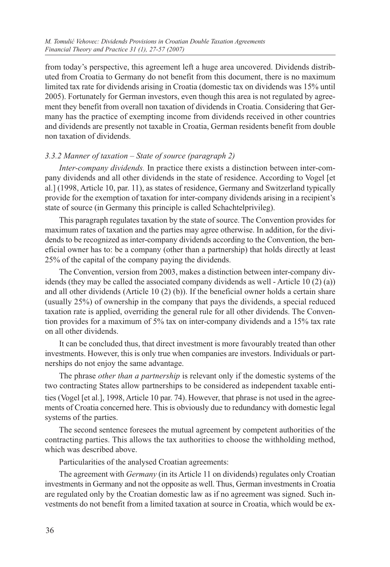from today's perspective, this agreement left a huge area uncovered. Dividends distributed from Croatia to Germany do not benefit from this document, there is no maximum limited tax rate for dividends arising in Croatia (domestic tax on dividends was 15% until 2005). Fortunately for German investors, even though this area is not regulated by agreement they benefit from overall non taxation of dividends in Croatia. Considering that Germany has the practice of exempting income from dividends received in other countries and dividends are presently not taxable in Croatia, German residents benefit from double non taxation of dividends.

# *3.3.2 Manner of taxation – State of source (paragraph 2)*

*Inter-company dividends.* In practice there exists a distinction between inter-company dividends and all other dividends in the state of residence. According to Vogel [et al.] (1998, Article 10, par. 11), as states of residence, Germany and Switzerland typically provide for the exemption of taxation for inter-company dividends arising in a recipient's state of source (in Germany this principle is called Schachtelprivileg).

This paragraph regulates taxation by the state of source. The Convention provides for maximum rates of taxation and the parties may agree otherwise. In addition, for the dividends to be recognized as inter-company dividends according to the Convention, the beneficial owner has to: be a company (other than a partnership) that holds directly at least 25% of the capital of the company paying the dividends.

The Convention, version from 2003, makes a distinction between inter-company dividends (they may be called the associated company dividends as well - Article 10  $(2)$  (a)) and all other dividends (Article 10 (2) (b)). If the beneficial owner holds a certain share (usually 25%) of ownership in the company that pays the dividends, a special reduced taxation rate is applied, overriding the general rule for all other dividends. The Convention provides for a maximum of 5% tax on inter-company dividends and a 15% tax rate on all other dividends.

It can be concluded thus, that direct investment is more favourably treated than other investments. However, this is only true when companies are investors. Individuals or partnerships do not enjoy the same advantage.

The phrase *other than a partnership* is relevant only if the domestic systems of the two contracting States allow partnerships to be considered as independent taxable entities (Vogel [et al.], 1998, Article 10 par. 74). However, that phrase is not used in the agreements of Croatia concerned here. This is obviously due to redundancy with domestic legal systems of the parties.

The second sentence foresees the mutual agreement by competent authorities of the contracting parties. This allows the tax authorities to choose the withholding method, which was described above.

Particularities of the analysed Croatian agreements:

The agreement with *Germany* (in its Article 11 on dividends) regulates only Croatian investments in Germany and not the opposite as well. Thus, German investments in Croatia are regulated only by the Croatian domestic law as if no agreement was signed. Such investments do not benefit from a limited taxation at source in Croatia, which would be ex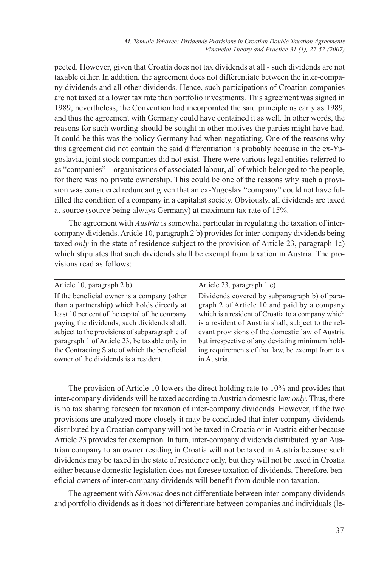pected. However, given that Croatia does not tax dividends at all - such dividends are not taxable either. In addition, the agreement does not differentiate between the inter-company dividends and all other dividends. Hence, such participations of Croatian companies are not taxed at a lower tax rate than portfolio investments. This agreement was signed in 1989, nevertheless, the Convention had incorporated the said principle as early as 1989, and thus the agreement with Germany could have contained it as well. In other words, the reasons for such wording should be sought in other motives the parties might have had. It could be this was the policy Germany had when negotiating. One of the reasons why this agreement did not contain the said differentiation is probably because in the ex-Yugoslavia, joint stock companies did not exist. There were various legal entities referred to as "companies" – organisations of associated labour, all of which belonged to the people, for there was no private ownership. This could be one of the reasons why such a provision was considered redundant given that an ex-Yugoslav "company" could not have fulfilled the condition of a company in a capitalist society. Obviously, all dividends are taxed at source (source being always Germany) at maximum tax rate of 15%.

The agreement with *Austria* is somewhat particular in regulating the taxation of intercompany dividends. Article 10, paragraph 2 b) provides for inter-company dividends being taxed *only* in the state of residence subject to the provision of Article 23, paragraph 1c) which stipulates that such dividends shall be exempt from taxation in Austria. The provisions read as follows:

| Article 10, paragraph 2 b)                      | Article 23, paragraph 1 c)                          |
|-------------------------------------------------|-----------------------------------------------------|
| If the beneficial owner is a company (other     | Dividends covered by subparagraph b) of para-       |
| than a partnership) which holds directly at     | graph 2 of Article 10 and paid by a company         |
| least 10 per cent of the capital of the company | which is a resident of Croatia to a company which   |
| paying the dividends, such dividends shall,     | is a resident of Austria shall, subject to the rel- |
| subject to the provisions of subparagraph c of  | evant provisions of the domestic law of Austria     |
| paragraph 1 of Article 23, be taxable only in   | but irrespective of any deviating minimum hold-     |
| the Contracting State of which the beneficial   | ing requirements of that law, be exempt from tax    |
| owner of the dividends is a resident.           | in Austria.                                         |

The provision of Article 10 lowers the direct holding rate to 10% and provides that inter-company dividends will be taxed according to Austrian domestic law *only*. Thus, there is no tax sharing foreseen for taxation of inter-company dividends. However, if the two provisions are analyzed more closely it may be concluded that inter-company dividends distributed by a Croatian company will not be taxed in Croatia or in Austria either because Article 23 provides for exemption. In turn, inter-company dividends distributed by an Austrian company to an owner residing in Croatia will not be taxed in Austria because such dividends may be taxed in the state of residence only, but they will not be taxed in Croatia either because domestic legislation does not foresee taxation of dividends. Therefore, beneficial owners of inter-company dividends will benefit from double non taxation.

The agreement with *Slovenia* does not differentiate between inter-company dividends and portfolio dividends as it does not differentiate between companies and individuals (le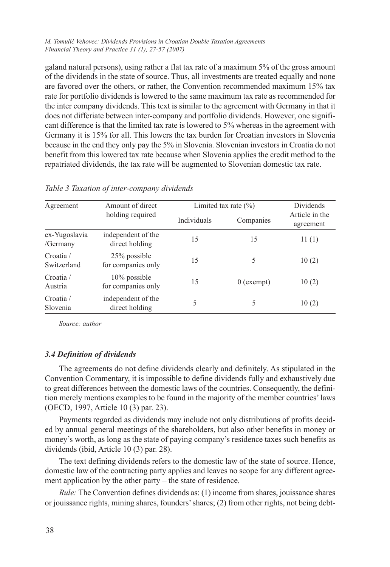galand natural persons), using rather a flat tax rate of a maximum 5% of the gross amount of the dividends in the state of source. Thus, all investments are treated equally and none are favored over the others, or rather, the Convention recommended maximum 15% tax rate for portfolio dividends is lowered to the same maximum tax rate as recommended for the inter company dividends. This text is similar to the agreement with Germany in that it does not differiate between inter-company and portfolio dividends. However, one significant difference is that the limited tax rate is lowered to 5% whereas in the agreement with Germany it is 15% for all. This lowers the tax burden for Croatian investors in Slovenia because in the end they only pay the 5% in Slovenia. Slovenian investors in Croatia do not benefit from this lowered tax rate because when Slovenia applies the credit method to the repatriated dividends, the tax rate will be augmented to Slovenian domestic tax rate.

| Agreement                 | Amount of direct                      |             | Limited tax rate $(\% )$ | Dividends                   |
|---------------------------|---------------------------------------|-------------|--------------------------|-----------------------------|
|                           | holding required                      | Individuals | Companies                | Article in the<br>agreement |
| ex-Yugoslavia<br>/Germany | independent of the<br>direct holding  | 15          | 15                       | 11(1)                       |
| Croatia /<br>Switzerland  | 25% possible<br>for companies only    | 15          | 5                        | 10(2)                       |
| Croatia /<br>Austria      | $10\%$ possible<br>for companies only | 15          | $0$ (exempt)             | 10(2)                       |
| Crotia/<br>Slovenia       | independent of the<br>direct holding  | 5           | 5                        | 10(2)                       |

|  |  |  | Table 3 Taxation of inter-company dividends |  |
|--|--|--|---------------------------------------------|--|
|--|--|--|---------------------------------------------|--|

*Source: author*

# *3.4 Definition of dividends*

The agreements do not define dividends clearly and definitely. As stipulated in the Convention Commentary, it is impossible to define dividends fully and exhaustively due to great differences between the domestic laws of the countries. Consequently, the definition merely mentions examples to be found in the majority of the member countries' laws (OECD, 1997, Article 10 (3) par. 23).

Payments regarded as dividends may include not only distributions of profits decided by annual general meetings of the shareholders, but also other benefits in money or money's worth, as long as the state of paying company's residence taxes such benefits as dividends (ibid, Article 10 (3) par. 28).

The text defining dividends refers to the domestic law of the state of source. Hence, domestic law of the contracting party applies and leaves no scope for any different agreement application by the other party – the state of residence.

*Rule:* The Convention defines dividends as: (1) income from shares, jouissance shares or jouissance rights, mining shares, founders' shares; (2) from other rights, not being debt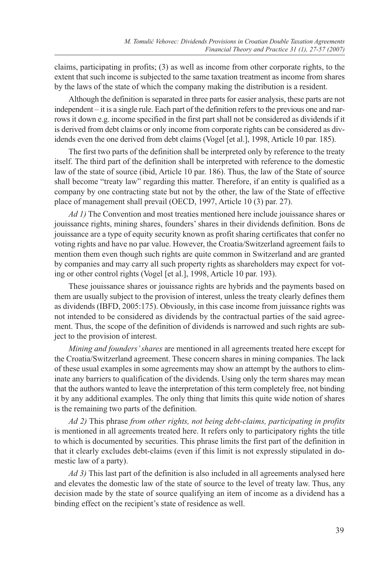claims, participating in profits; (3) as well as income from other corporate rights, to the extent that such income is subjected to the same taxation treatment as income from shares by the laws of the state of which the company making the distribution is a resident.

Although the definition is separated in three parts for easier analysis, these parts are not independent – it is a single rule. Each part of the definition refers to the previous one and narrows it down e.g. income specified in the first part shall not be considered as dividends if it is derived from debt claims or only income from corporate rights can be considered as dividends even the one derived from debt claims (Vogel [et al.], 1998, Article 10 par. 185).

The first two parts of the definition shall be interpreted only by reference to the treaty itself. The third part of the definition shall be interpreted with reference to the domestic law of the state of source (ibid, Article 10 par. 186). Thus, the law of the State of source shall become "treaty law" regarding this matter. Therefore, if an entity is qualified as a company by one contracting state but not by the other, the law of the State of effective place of management shall prevail (OECD, 1997, Article 10 (3) par. 27).

*Ad 1)* The Convention and most treaties mentioned here include jouissance shares or jouissance rights, mining shares, founders' shares in their dividends definition. Bons de jouissance are a type of equity security known as profit sharing certificates that confer no voting rights and have no par value. However, the Croatia/Switzerland agreement fails to mention them even though such rights are quite common in Switzerland and are granted by companies and may carry all such property rights as shareholders may expect for voting or other control rights (Vogel [et al.], 1998, Article 10 par. 193).

These jouissance shares or jouissance rights are hybrids and the payments based on them are usually subject to the provision of interest, unless the treaty clearly defines them as dividends (IBFD, 2005:175). Obviously, in this case income from juissance rights was not intended to be considered as dividends by the contractual parties of the said agreement. Thus, the scope of the definition of dividends is narrowed and such rights are subject to the provision of interest.

*Mining and founders' shares* are mentioned in all agreements treated here except for the Croatia/Switzerland agreement. These concern shares in mining companies. The lack of these usual examples in some agreements may show an attempt by the authors to eliminate any barriers to qualification of the dividends. Using only the term shares may mean that the authors wanted to leave the interpretation of this term completely free, not binding it by any additional examples. The only thing that limits this quite wide notion of shares is the remaining two parts of the definition.

*Ad 2)* This phrase *from other rights, not being debt-claims, participating in profits* is mentioned in all agreements treated here. It refers only to participatory rights the title to which is documented by securities. This phrase limits the first part of the definition in that it clearly excludes debt-claims (even if this limit is not expressly stipulated in domestic law of a party).

*Ad 3)* This last part of the definition is also included in all agreements analysed here and elevates the domestic law of the state of source to the level of treaty law. Thus, any decision made by the state of source qualifying an item of income as a dividend has a binding effect on the recipient's state of residence as well.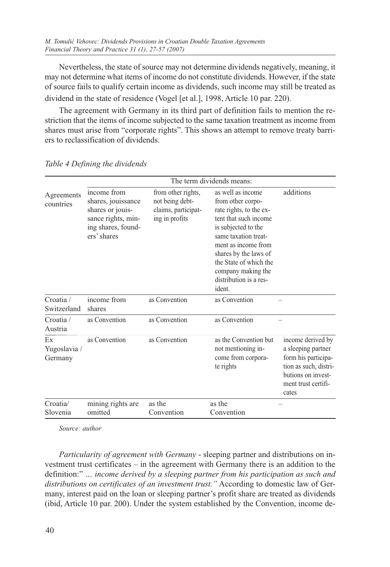Nevertheless, the state of source may not determine dividends negatively, meaning, it may not determine what items of income do not constitute dividends. However, if the state of source fails to qualify certain income as dividends, such income may still be treated as dividend in the state of residence (Vogel [et al.], 1998, Article 10 par. 220).

The agreement with Germany in its third part of definition fails to mention the restriction that the items of income subjected to the same taxation treatment as income from shares must arise from "corporate rights". This shows an attempt to remove treaty barriers to reclassification of dividends.

|                               |                                                                                                                  |                                                                                | The term dividends means:                                                                                                                                                                                                                                                     |                                                                                                                                               |
|-------------------------------|------------------------------------------------------------------------------------------------------------------|--------------------------------------------------------------------------------|-------------------------------------------------------------------------------------------------------------------------------------------------------------------------------------------------------------------------------------------------------------------------------|-----------------------------------------------------------------------------------------------------------------------------------------------|
| Agreements<br>countries       | income from<br>shares, jouissance<br>shares or jouis-<br>sance rights, min-<br>ing shares, found-<br>ers' shares | from other rights,<br>not being debt-<br>claims, participat-<br>ing in profits | as well as income<br>from other corpo-<br>rate rights, to the ex-<br>tent that such income<br>is subjected to the<br>same taxation treat-<br>ment as income from<br>shares by the laws of<br>the State of which the<br>company making the<br>distribution is a res-<br>ident. | additions                                                                                                                                     |
| Croatia /<br>Switzerland      | income from<br>shares                                                                                            | as Convention                                                                  | as Convention                                                                                                                                                                                                                                                                 |                                                                                                                                               |
| Croatia /<br>Austria          | as Convention                                                                                                    | as Convention                                                                  | as Convention                                                                                                                                                                                                                                                                 |                                                                                                                                               |
| Ex<br>Yugoslavia /<br>Germany | as Convention                                                                                                    | as Convention                                                                  | as the Convention but<br>not mentioning in-<br>come from corpora-<br>te rights                                                                                                                                                                                                | income derived by<br>a sleeping partner<br>form his participa-<br>tion as such, distri-<br>butions on invest-<br>ment trust certifi-<br>cates |
| Croatia/<br>Slovenia          | mining rights are<br>omitted                                                                                     | as the<br>Convention                                                           | as the<br>Convention                                                                                                                                                                                                                                                          |                                                                                                                                               |

*Table 4 Defining the dividends*

*Source: author*

*Particularity of agreement with Germany* - sleeping partner and distributions on investment trust certificates – in the agreement with Germany there is an addition to the definition:" *… income derived by a sleeping partner from his participation as such and distributions on certificates of an investment trust."* According to domestic law of Germany, interest paid on the loan or sleeping partner's profit share are treated as dividends (ibid, Article 10 par. 200). Under the system established by the Convention, income de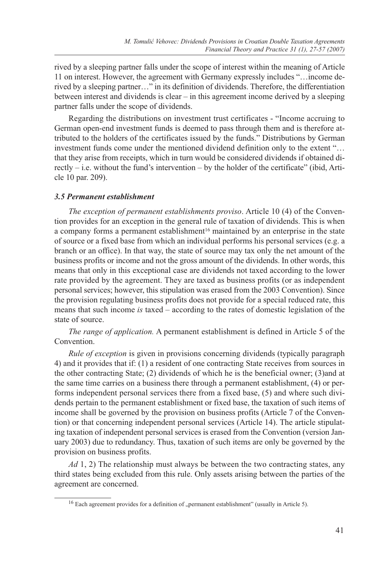rived by a sleeping partner falls under the scope of interest within the meaning of Article 11 on interest. However, the agreement with Germany expressly includes "…income derived by a sleeping partner…" in its definition of dividends. Therefore, the differentiation between interest and dividends is clear – in this agreement income derived by a sleeping partner falls under the scope of dividends.

Regarding the distributions on investment trust certificates - "Income accruing to German open-end investment funds is deemed to pass through them and is therefore attributed to the holders of the certificates issued by the funds." Distributions by German investment funds come under the mentioned dividend definition only to the extent "… that they arise from receipts, which in turn would be considered dividends if obtained directly  $-$  i.e. without the fund's intervention  $-$  by the holder of the certificate" (ibid, Article 10 par. 209).

## *3.5 Permanent establishment*

*The exception of permanent establishments proviso*. Article 10 (4) of the Convention provides for an exception in the general rule of taxation of dividends. This is when a company forms a permanent establishment<sup>16</sup> maintained by an enterprise in the state of source or a fixed base from which an individual performs his personal services (e.g. a branch or an office). In that way, the state of source may tax only the net amount of the business profits or income and not the gross amount of the dividends. In other words, this means that only in this exceptional case are dividends not taxed according to the lower rate provided by the agreement. They are taxed as business profits (or as independent personal services; however, this stipulation was erased from the 2003 Convention). Since the provision regulating business profits does not provide for a special reduced rate, this means that such income *is* taxed – according to the rates of domestic legislation of the state of source.

*The range of application.* A permanent establishment is defined in Article 5 of the Convention.

*Rule of exception* is given in provisions concerning dividends (typically paragraph 4) and it provides that if: (1) a resident of one contracting State receives from sources in the other contracting State; (2) dividends of which he is the beneficial owner; (3)and at the same time carries on a business there through a permanent establishment, (4) or performs independent personal services there from a fixed base, (5) and where such dividends pertain to the permanent establishment or fixed base, the taxation of such items of income shall be governed by the provision on business profits (Article 7 of the Convention) or that concerning independent personal services (Article 14). The article stipulating taxation of independent personal services is erased from the Convention (version January 2003) due to redundancy. Thus, taxation of such items are only be governed by the provision on business profits.

*Ad* 1, 2) The relationship must always be between the two contracting states, any third states being excluded from this rule. Only assets arising between the parties of the agreement are concerned.

 $16$  Each agreement provides for a definition of "permanent establishment" (usually in Article 5).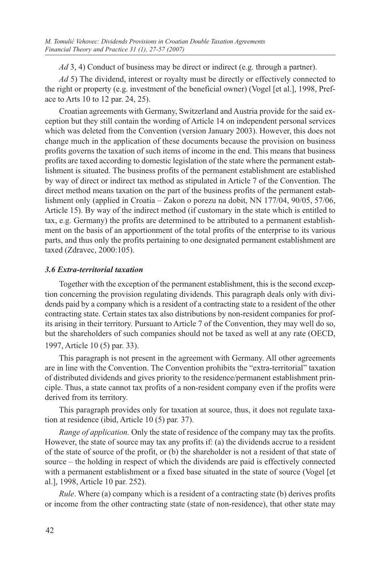*Ad* 3, 4) Conduct of business may be direct or indirect (e.g. through a partner).

*Ad* 5) The dividend, interest or royalty must be directly or effectively connected to the right or property (e.g. investment of the beneficial owner) (Vogel [et al.], 1998, Preface to Arts 10 to 12 par. 24, 25).

Croatian agreements with Germany, Switzerland and Austria provide for the said exception but they still contain the wording of Article 14 on independent personal services which was deleted from the Convention (version January 2003). However, this does not change much in the application of these documents because the provision on business profits governs the taxation of such items of income in the end. This means that business profits are taxed according to domestic legislation of the state where the permanent establishment is situated. The business profits of the permanent establishment are established by way of direct or indirect tax method as stipulated in Article 7 of the Convention. The direct method means taxation on the part of the business profits of the permanent establishment only (applied in Croatia – Zakon o porezu na dobit, NN 177/04, 90/05, 57/06, Article 15). By way of the indirect method (if customary in the state which is entitled to tax, e.g. Germany) the profits are determined to be attributed to a permanent establishment on the basis of an apportionment of the total profits of the enterprise to its various parts, and thus only the profits pertaining to one designated permanent establishment are taxed (Zdravec, 2000:105).

# *3.6 Extra-territorial taxation*

Together with the exception of the permanent establishment, this is the second exception concerning the provision regulating dividends. This paragraph deals only with dividends paid by a company which is a resident of a contracting state to a resident of the other contracting state. Certain states tax also distributions by non-resident companies for profits arising in their territory. Pursuant to Article 7 of the Convention, they may well do so, but the shareholders of such companies should not be taxed as well at any rate (OECD, 1997, Article 10 (5) par. 33).

This paragraph is not present in the agreement with Germany. All other agreements are in line with the Convention. The Convention prohibits the "extra-territorial" taxation of distributed dividends and gives priority to the residence/permanent establishment principle. Thus, a state cannot tax profits of a non-resident company even if the profits were derived from its territory.

This paragraph provides only for taxation at source, thus, it does not regulate taxation at residence (ibid, Article 10 (5) par. 37).

*Range of application.* Only the state of residence of the company may tax the profits. However, the state of source may tax any profits if: (a) the dividends accrue to a resident of the state of source of the profit, or (b) the shareholder is not a resident of that state of source – the holding in respect of which the dividends are paid is effectively connected with a permanent establishment or a fixed base situated in the state of source (Vogel [et al.], 1998, Article 10 par. 252).

*Rule*. Where (a) company which is a resident of a contracting state (b) derives profits or income from the other contracting state (state of non-residence), that other state may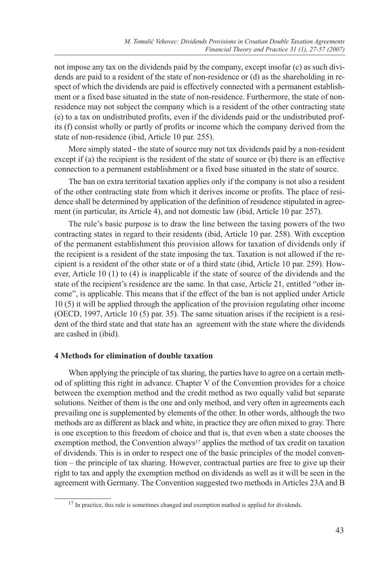not impose any tax on the dividends paid by the company, except insofar (c) as such dividends are paid to a resident of the state of non-residence or (d) as the shareholding in respect of which the dividends are paid is effectively connected with a permanent establishment or a fixed base situated in the state of non-residence. Furthermore, the state of nonresidence may not subject the company which is a resident of the other contracting state (e) to a tax on undistributed profits, even if the dividends paid or the undistributed profits (f) consist wholly or partly of profits or income which the company derived from the state of non-residence (ibid, Article 10 par. 255).

More simply stated - the state of source may not tax dividends paid by a non-resident except if (a) the recipient is the resident of the state of source or (b) there is an effective connection to a permanent establishment or a fixed base situated in the state of source.

The ban on extra territorial taxation applies only if the company is not also a resident of the other contracting state from which it derives income or profits. The place of residence shall be determined by application of the definition of residence stipulated in agreement (in particular, its Article 4), and not domestic law (ibid, Article 10 par. 257).

The rule's basic purpose is to draw the line between the taxing powers of the two contracting states in regard to their residents (ibid, Article 10 par. 258). With exception of the permanent establishment this provision allows for taxation of dividends only if the recipient is a resident of the state imposing the tax. Taxation is not allowed if the recipient is a resident of the other state or of a third state (ibid, Article 10 par. 259). However, Article 10 (1) to (4) is inapplicable if the state of source of the dividends and the state of the recipient's residence are the same. In that case, Article 21, entitled "other income", is applicable. This means that if the effect of the ban is not applied under Article 10 (5) it will be applied through the application of the provision regulating other income (OECD, 1997, Article 10 (5) par. 35). The same situation arises if the recipient is a resident of the third state and that state has an agreement with the state where the dividends are cashed in (ibid).

# **4 Methods for elimination of double taxation**

When applying the principle of tax sharing, the parties have to agree on a certain method of splitting this right in advance. Chapter V of the Convention provides for a choice between the exemption method and the credit method as two equally valid but separate solutions. Neither of them is the one and only method, and very often in agreements each prevailing one is supplemented by elements of the other. In other words, although the two methods are as different as black and white, in practice they are often mixed to gray. There is one exception to this freedom of choice and that is, that even when a state chooses the exemption method, the Convention always<sup>17</sup> applies the method of tax credit on taxation of dividends. This is in order to respect one of the basic principles of the model convention – the principle of tax sharing. However, contractual parties are free to give up their right to tax and apply the exemption method on dividends as well as it will be seen in the agreement with Germany. The Convention suggested two methods in Articles 23A and B

<sup>&</sup>lt;sup>17</sup> In practice, this rule is sometimes changed and exemption mathod is applied for dividends.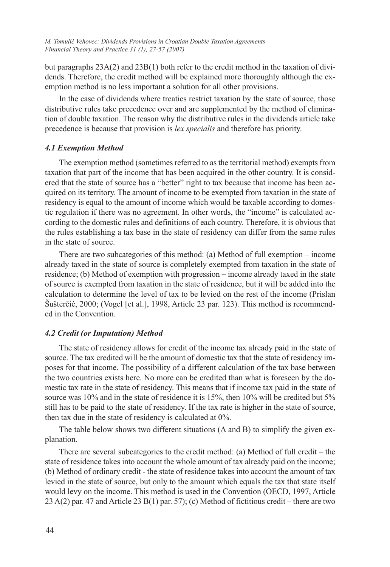but paragraphs 23A(2) and 23B(1) both refer to the credit method in the taxation of dividends. Therefore, the credit method will be explained more thoroughly although the exemption method is no less important a solution for all other provisions.

In the case of dividends where treaties restrict taxation by the state of source, those distributive rules take precedence over and are supplemented by the method of elimination of double taxation. The reason why the distributive rules in the dividends article take precedence is because that provision is *lex specialis* and therefore has priority.

# *4.1 Exemption Method*

The exemption method (sometimes referred to as the territorial method) exempts from taxation that part of the income that has been acquired in the other country. It is considered that the state of source has a "better" right to tax because that income has been acquired on its territory. The amount of income to be exempted from taxation in the state of residency is equal to the amount of income which would be taxable according to domestic regulation if there was no agreement. In other words, the "income" is calculated according to the domestic rules and definitions of each country. Therefore, it is obvious that the rules establishing a tax base in the state of residency can differ from the same rules in the state of source.

There are two subcategories of this method: (a) Method of full exemption – income already taxed in the state of source is completely exempted from taxation in the state of residence; (b) Method of exemption with progression – income already taxed in the state of source is exempted from taxation in the state of residence, but it will be added into the calculation to determine the level of tax to be levied on the rest of the income (Prislan Šušterčić, 2000; (Vogel [et al.], 1998, Article 23 par. 123). This method is recommended in the Convention.

# *4.2 Credit (or Imputation) Method*

The state of residency allows for credit of the income tax already paid in the state of source. The tax credited will be the amount of domestic tax that the state of residency imposes for that income. The possibility of a different calculation of the tax base between the two countries exists here. No more can be credited than what is foreseen by the domestic tax rate in the state of residency. This means that if income tax paid in the state of source was 10% and in the state of residence it is 15%, then 10% will be credited but 5% still has to be paid to the state of residency. If the tax rate is higher in the state of source, then tax due in the state of residency is calculated at 0%.

The table below shows two different situations (A and B) to simplify the given explanation.

There are several subcategories to the credit method: (a) Method of full credit – the state of residence takes into account the whole amount of tax already paid on the income; (b) Method of ordinary credit - the state of residence takes into account the amount of tax levied in the state of source, but only to the amount which equals the tax that state itself would levy on the income. This method is used in the Convention (OECD, 1997, Article 23 A(2) par. 47 and Article 23 B(1) par. 57); (c) Method of fictitious credit – there are two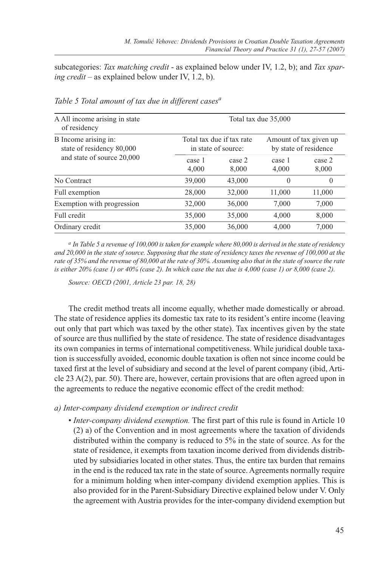subcategories: *Tax matching credit* - as explained below under IV, 1.2, b); and *Tax sparing credit* – as explained below under IV, 1.2, b).

| A All income arising in state<br>of residency     |                 |                                                  | Total tax due 35,000 |                                                 |
|---------------------------------------------------|-----------------|--------------------------------------------------|----------------------|-------------------------------------------------|
| B Income arising in:<br>state of residency 80,000 |                 | Total tax due if tax rate<br>in state of source: |                      | Amount of tax given up<br>by state of residence |
| and state of source 20,000                        | case 1<br>4,000 | case 2<br>8,000                                  | case 1<br>4,000      | case 2<br>8,000                                 |
| No Contract                                       | 39,000          | 43,000                                           | $\theta$             | $\theta$                                        |
| Full exemption                                    | 28,000          | 32,000                                           | 11,000               | 11,000                                          |
| Exemption with progression                        | 32,000          | 36,000                                           | 7,000                | 7,000                                           |
| Full credit                                       | 35,000          | 35,000                                           | 4,000                | 8,000                                           |
| Ordinary credit                                   | 35,000          | 36,000                                           | 4.000                | 7.000                                           |

*Table 5 Total amount of tax due in different casesa*

*<sup>a</sup> In Table 5 a revenue of 100,000 is taken for example where 80,000 is derived in the state of residency*  and 20,000 in the state of source. Supposing that the state of residency taxes the revenue of 100,000 at the *rate of 35% and the revenue of 80,000 at the rate of 30%. Assuming also that in the state of source the rate is either 20% (case 1) or 40% (case 2). In which case the tax due is 4,000 (case 1) or 8,000 (case 2).*

*Source: OECD (2001, Article 23 par. 18, 28)*

The credit method treats all income equally, whether made domestically or abroad. The state of residence applies its domestic tax rate to its resident's entire income (leaving out only that part which was taxed by the other state). Tax incentives given by the state of source are thus nullified by the state of residence. The state of residence disadvantages its own companies in terms of international competitiveness. While juridical double taxation is successfully avoided, economic double taxation is often not since income could be taxed first at the level of subsidiary and second at the level of parent company (ibid, Article 23 A(2), par. 50). There are, however, certain provisions that are often agreed upon in the agreements to reduce the negative economic effect of the credit method:

#### *a) Inter-company dividend exemption or indirect credit*

• *Inter-company dividend exemption.* The first part of this rule is found in Article 10 (2) a) of the Convention and in most agreements where the taxation of dividends distributed within the company is reduced to 5% in the state of source. As for the state of residence, it exempts from taxation income derived from dividends distributed by subsidiaries located in other states. Thus, the entire tax burden that remains in the end is the reduced tax rate in the state of source. Agreements normally require for a minimum holding when inter-company dividend exemption applies. This is also provided for in the Parent-Subsidiary Directive explained below under V. Only the agreement with Austria provides for the inter-company dividend exemption but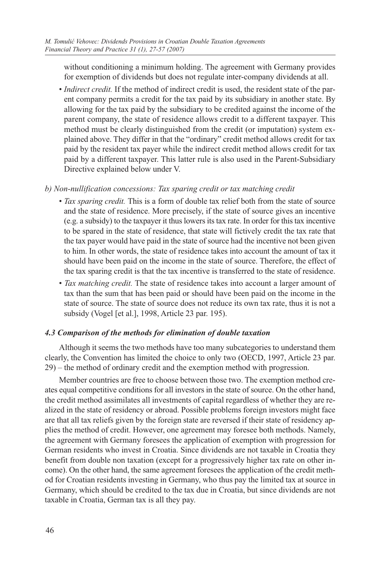without conditioning a minimum holding. The agreement with Germany provides for exemption of dividends but does not regulate inter-company dividends at all.

• *Indirect credit.* If the method of indirect credit is used, the resident state of the parent company permits a credit for the tax paid by its subsidiary in another state. By allowing for the tax paid by the subsidiary to be credited against the income of the parent company, the state of residence allows credit to a different taxpayer. This method must be clearly distinguished from the credit (or imputation) system explained above. They differ in that the "ordinary" credit method allows credit for tax paid by the resident tax payer while the indirect credit method allows credit for tax paid by a different taxpayer. This latter rule is also used in the Parent-Subsidiary Directive explained below under V.

## *b) Non-nullification concessions: Tax sparing credit or tax matching credit*

- *Tax sparing credit.* This is a form of double tax relief both from the state of source and the state of residence. More precisely, if the state of source gives an incentive (e.g. a subsidy) to the taxpayer it thus lowers its tax rate. In order for this tax incentive to be spared in the state of residence, that state will fictively credit the tax rate that the tax payer would have paid in the state of source had the incentive not been given to him. In other words, the state of residence takes into account the amount of tax it should have been paid on the income in the state of source. Therefore, the effect of the tax sparing credit is that the tax incentive is transferred to the state of residence.
- *Tax matching credit.* The state of residence takes into account a larger amount of tax than the sum that has been paid or should have been paid on the income in the state of source. The state of source does not reduce its own tax rate, thus it is not a subsidy (Vogel [et al.], 1998, Article 23 par. 195).

# *4.3 Comparison of the methods for elimination of double taxation*

Although it seems the two methods have too many subcategories to understand them clearly, the Convention has limited the choice to only two (OECD, 1997, Article 23 par. 29) – the method of ordinary credit and the exemption method with progression.

Member countries are free to choose between those two. The exemption method creates equal competitive conditions for all investors in the state of source. On the other hand, the credit method assimilates all investments of capital regardless of whether they are realized in the state of residency or abroad. Possible problems foreign investors might face are that all tax reliefs given by the foreign state are reversed if their state of residency applies the method of credit. However, one agreement may foresee both methods. Namely, the agreement with Germany foresees the application of exemption with progression for German residents who invest in Croatia. Since dividends are not taxable in Croatia they benefit from double non taxation (except for a progressively higher tax rate on other income). On the other hand, the same agreement foresees the application of the credit method for Croatian residents investing in Germany, who thus pay the limited tax at source in Germany, which should be credited to the tax due in Croatia, but since dividends are not taxable in Croatia, German tax is all they pay.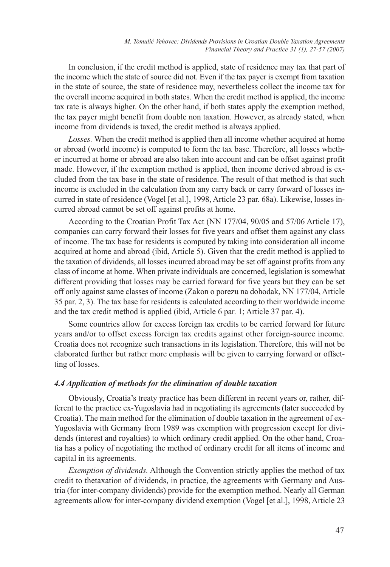In conclusion, if the credit method is applied, state of residence may tax that part of the income which the state of source did not. Even if the tax payer is exempt from taxation in the state of source, the state of residence may, nevertheless collect the income tax for the overall income acquired in both states. When the credit method is applied, the income tax rate is always higher. On the other hand, if both states apply the exemption method, the tax payer might benefit from double non taxation. However, as already stated, when income from dividends is taxed, the credit method is always applied.

*Losses.* When the credit method is applied then all income whether acquired at home or abroad (world income) is computed to form the tax base. Therefore, all losses whether incurred at home or abroad are also taken into account and can be offset against profit made. However, if the exemption method is applied, then income derived abroad is excluded from the tax base in the state of residence. The result of that method is that such income is excluded in the calculation from any carry back or carry forward of losses incurred in state of residence (Vogel [et al.], 1998, Article 23 par. 68a). Likewise, losses incurred abroad cannot be set off against profits at home.

According to the Croatian Profit Tax Act (NN 177/04, 90/05 and 57/06 Article 17), companies can carry forward their losses for five years and offset them against any class of income. The tax base for residents is computed by taking into consideration all income acquired at home and abroad (ibid, Article 5). Given that the credit method is applied to the taxation of dividends, all losses incurred abroad may be set off against profits from any class of income at home. When private individuals are concerned, legislation is somewhat different providing that losses may be carried forward for five years but they can be set off only against same classes of income (Zakon o porezu na dohodak, NN 177/04, Article 35 par. 2, 3). The tax base for residents is calculated according to their worldwide income and the tax credit method is applied (ibid, Article 6 par. 1; Article 37 par. 4).

Some countries allow for excess foreign tax credits to be carried forward for future years and/or to offset excess foreign tax credits against other foreign-source income. Croatia does not recognize such transactions in its legislation. Therefore, this will not be elaborated further but rather more emphasis will be given to carrying forward or offsetting of losses.

#### *4.4 Application of methods for the elimination of double taxation*

Obviously, Croatia's treaty practice has been different in recent years or, rather, different to the practice ex-Yugoslavia had in negotiating its agreements (later succeeded by Croatia). The main method for the elimination of double taxation in the agreement of ex-Yugoslavia with Germany from 1989 was exemption with progression except for dividends (interest and royalties) to which ordinary credit applied. On the other hand, Croatia has a policy of negotiating the method of ordinary credit for all items of income and capital in its agreements.

*Exemption of dividends.* Although the Convention strictly applies the method of tax credit to thetaxation of dividends, in practice, the agreements with Germany and Austria (for inter-company dividends) provide for the exemption method. Nearly all German agreements allow for inter-company dividend exemption (Vogel [et al.], 1998, Article 23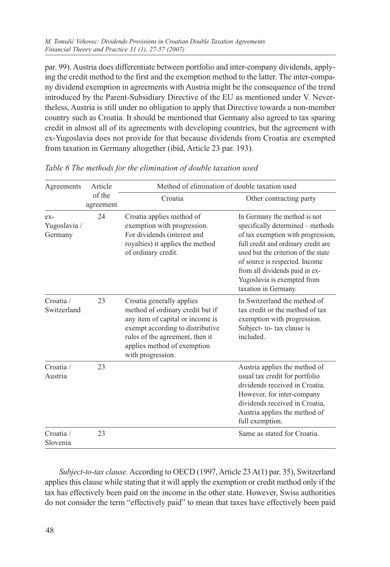par. 99). Austria does differentiate between portfolio and inter-company dividends, applying the credit method to the first and the exemption method to the latter. The inter-company dividend exemption in agreements with Austria might be the consequence of the trend introduced by the Parent-Subsidiary Directive of the EU as mentioned under V. Nevertheless, Austria is still under no obligation to apply that Directive towards a non-member country such as Croatia. It should be mentioned that Germany also agreed to tax sparing credit in almost all of its agreements with developing countries, but the agreement with ex-Yugoslavia does not provide for that because dividends from Croatia are exempted from taxation in Germany altogether (ibid, Article 23 par. 193).

| Agreements                       | Article             | Method of elimination of double taxation used                                                                                                                                                                                |                                                                                                                                                                                                                                                                                                                  |
|----------------------------------|---------------------|------------------------------------------------------------------------------------------------------------------------------------------------------------------------------------------------------------------------------|------------------------------------------------------------------------------------------------------------------------------------------------------------------------------------------------------------------------------------------------------------------------------------------------------------------|
|                                  | of the<br>agreement | Croatia                                                                                                                                                                                                                      | Other contracting party                                                                                                                                                                                                                                                                                          |
| $ex-$<br>Yugoslavia /<br>Germany | 24                  | Croatia applies method of<br>exemption with progression.<br>For dividends (interest and<br>royalties) it applies the method<br>of ordinary credit.                                                                           | In Germany the method is not<br>specifically determined - methods<br>of tax exemption with progression,<br>full credit and ordinary credit are<br>used but the criterion of the state<br>of source is respected. Income<br>from all dividends paid in ex-<br>Yugoslavia is exempted from<br>taxation in Germany. |
| Croatia /<br>Switzerland         | 23                  | Croatia generally applies<br>method of ordinary credit but if<br>any item of capital or income is<br>exempt according to distributive<br>rules of the agreement, then it<br>applies method of exemption<br>with progression. | In Switzerland the method of<br>tax credit or the method of tax<br>exemption with progression.<br>Subject- to- tax clause is<br>included.                                                                                                                                                                        |
| Croatia /<br>Austria             | 23                  |                                                                                                                                                                                                                              | Austria applies the method of<br>usual tax credit for portfolio<br>dividends received in Croatia.<br>However, for inter-company<br>dividends received in Croatia,<br>Austria applies the method of<br>full exemption.                                                                                            |
| Croatia /<br>Slovenia            | 23                  |                                                                                                                                                                                                                              | Same as stated for Croatia.                                                                                                                                                                                                                                                                                      |

*Table 6 The methods for the elimination of double taxation used*

*Subject-to-tax clause.* According to OECD (1997, Article 23 A(1) par. 35), Switzerland applies this clause while stating that it will apply the exemption or credit method only if the tax has effectively been paid on the income in the other state. However, Swiss authorities do not consider the term "effectively paid" to mean that taxes have effectively been paid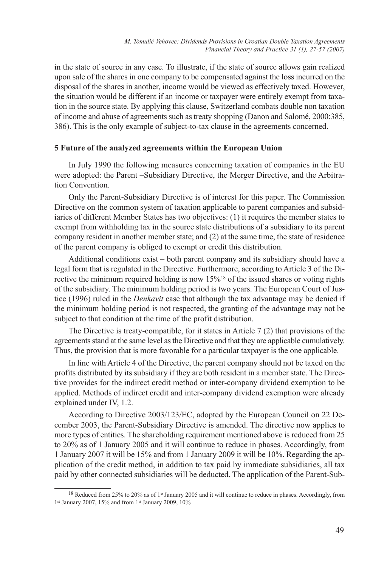in the state of source in any case. To illustrate, if the state of source allows gain realized upon sale of the shares in one company to be compensated against the loss incurred on the disposal of the shares in another, income would be viewed as effectively taxed. However, the situation would be different if an income or taxpayer were entirely exempt from taxation in the source state. By applying this clause, Switzerland combats double non taxation of income and abuse of agreements such as treaty shopping (Danon and Salomé, 2000:385, 386). This is the only example of subject-to-tax clause in the agreements concerned.

## **5 Future of the analyzed agreements within the European Union**

In July 1990 the following measures concerning taxation of companies in the EU were adopted: the Parent –Subsidiary Directive, the Merger Directive, and the Arbitration Convention.

Only the Parent-Subsidiary Directive is of interest for this paper. The Commission Directive on the common system of taxation applicable to parent companies and subsidiaries of different Member States has two objectives: (1) it requires the member states to exempt from withholding tax in the source state distributions of a subsidiary to its parent company resident in another member state; and (2) at the same time, the state of residence of the parent company is obliged to exempt or credit this distribution.

Additional conditions exist – both parent company and its subsidiary should have a legal form that is regulated in the Directive. Furthermore, according to Article 3 of the Directive the minimum required holding is now 15%<sup>18</sup> of the issued shares or voting rights of the subsidiary. The minimum holding period is two years. The European Court of Justice (1996) ruled in the *Denkavit* case that although the tax advantage may be denied if the minimum holding period is not respected, the granting of the advantage may not be subject to that condition at the time of the profit distribution.

The Directive is treaty-compatible, for it states in Article 7 (2) that provisions of the agreements stand at the same level as the Directive and that they are applicable cumulatively. Thus, the provision that is more favorable for a particular taxpayer is the one applicable.

In line with Article 4 of the Directive, the parent company should not be taxed on the profits distributed by its subsidiary if they are both resident in a member state. The Directive provides for the indirect credit method or inter-company dividend exemption to be applied. Methods of indirect credit and inter-company dividend exemption were already explained under IV, 1.2.

According to Directive 2003/123/EC, adopted by the European Council on 22 December 2003, the Parent-Subsidiary Directive is amended. The directive now applies to more types of entities. The shareholding requirement mentioned above is reduced from 25 to 20% as of 1 January 2005 and it will continue to reduce in phases. Accordingly, from 1 January 2007 it will be 15% and from 1 January 2009 it will be 10%. Regarding the application of the credit method, in addition to tax paid by immediate subsidiaries, all tax paid by other connected subsidiaries will be deducted. The application of the Parent-Sub-

<sup>&</sup>lt;sup>18</sup> Reduced from 25% to 20% as of 1<sup>st</sup> January 2005 and it will continue to reduce in phases. Accordingly, from 1st January 2007, 15% and from 1st January 2009, 10%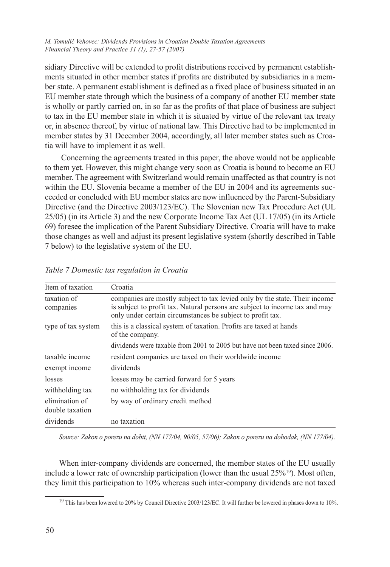sidiary Directive will be extended to profit distributions received by permanent establishments situated in other member states if profits are distributed by subsidiaries in a member state. A permanent establishment is defined as a fixed place of business situated in an EU member state through which the business of a company of another EU member state is wholly or partly carried on, in so far as the profits of that place of business are subject to tax in the EU member state in which it is situated by virtue of the relevant tax treaty or, in absence thereof, by virtue of national law. This Directive had to be implemented in member states by 31 December 2004, accordingly, all later member states such as Croatia will have to implement it as well.

 Concerning the agreements treated in this paper, the above would not be applicable to them yet. However, this might change very soon as Croatia is bound to become an EU member. The agreement with Switzerland would remain unaffected as that country is not within the EU. Slovenia became a member of the EU in 2004 and its agreements succeeded or concluded with EU member states are now influenced by the Parent-Subsidiary Directive (and the Directive 2003/123/EC). The Slovenian new Tax Procedure Act (UL 25/05) (in its Article 3) and the new Corporate Income Tax Act (UL 17/05) (in its Article 69) foresee the implication of the Parent Subsidiary Directive. Croatia will have to make those changes as well and adjust its present legislative system (shortly described in Table 7 below) to the legislative system of the EU.

| Item of taxation                  | Croatia                                                                                                                                                                                                                 |
|-----------------------------------|-------------------------------------------------------------------------------------------------------------------------------------------------------------------------------------------------------------------------|
| taxation of<br>companies          | companies are mostly subject to tax levied only by the state. Their income<br>is subject to profit tax. Natural persons are subject to income tax and may<br>only under certain circumstances be subject to profit tax. |
| type of tax system                | this is a classical system of taxation. Profits are taxed at hands<br>of the company.                                                                                                                                   |
|                                   | dividends were taxable from 2001 to 2005 but have not been taxed since 2006.                                                                                                                                            |
| taxable income                    | resident companies are taxed on their worldwide income                                                                                                                                                                  |
| exempt income                     | dividends                                                                                                                                                                                                               |
| losses                            | losses may be carried forward for 5 years                                                                                                                                                                               |
| withholding tax                   | no withholding tax for dividends                                                                                                                                                                                        |
| elimination of<br>double taxation | by way of ordinary credit method                                                                                                                                                                                        |
| dividends                         | no taxation                                                                                                                                                                                                             |

*Table 7 Domestic tax regulation in Croatia*

*Source: Zakon o porezu na dobit, (NN 177/04, 90/05, 57/06); Zakon o porezu na dohodak, (NN 177/04).* 

When inter-company dividends are concerned, the member states of the EU usually include a lower rate of ownership participation (lower than the usual  $25\%^{19}$ ). Most often, they limit this participation to 10% whereas such inter-company dividends are not taxed

<sup>&</sup>lt;sup>19</sup> This has been lowered to 20% by Council Directive 2003/123/EC. It will further be lowered in phases down to 10%.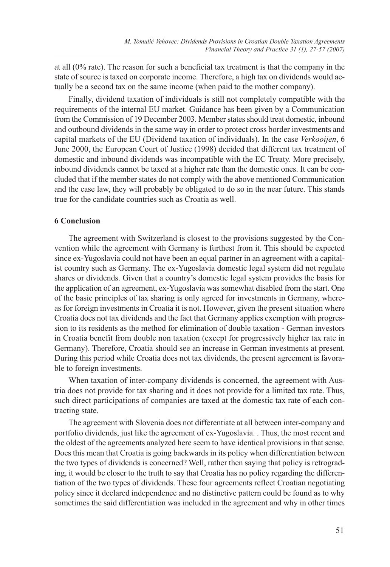at all (0% rate). The reason for such a beneficial tax treatment is that the company in the state of source is taxed on corporate income. Therefore, a high tax on dividends would actually be a second tax on the same income (when paid to the mother company).

Finally, dividend taxation of individuals is still not completely compatible with the requirements of the internal EU market. Guidance has been given by a Communication from the Commission of 19 December 2003. Member states should treat domestic, inbound and outbound dividends in the same way in order to protect cross border investments and capital markets of the EU (Dividend taxation of individuals). In the case *Verkooijen*, 6 June 2000, the European Court of Justice (1998) decided that different tax treatment of domestic and inbound dividends was incompatible with the EC Treaty. More precisely, inbound dividends cannot be taxed at a higher rate than the domestic ones. It can be concluded that if the member states do not comply with the above mentioned Communication and the case law, they will probably be obligated to do so in the near future. This stands true for the candidate countries such as Croatia as well.

#### **6 Conclusion**

The agreement with Switzerland is closest to the provisions suggested by the Convention while the agreement with Germany is furthest from it. This should be expected since ex-Yugoslavia could not have been an equal partner in an agreement with a capitalist country such as Germany. The ex-Yugoslavia domestic legal system did not regulate shares or dividends. Given that a country's domestic legal system provides the basis for the application of an agreement, ex-Yugoslavia was somewhat disabled from the start. One of the basic principles of tax sharing is only agreed for investments in Germany, whereas for foreign investments in Croatia it is not. However, given the present situation where Croatia does not tax dividends and the fact that Germany applies exemption with progression to its residents as the method for elimination of double taxation - German investors in Croatia benefit from double non taxation (except for progressively higher tax rate in Germany). Therefore, Croatia should see an increase in German investments at present. During this period while Croatia does not tax dividends, the present agreement is favorable to foreign investments.

When taxation of inter-company dividends is concerned, the agreement with Austria does not provide for tax sharing and it does not provide for a limited tax rate. Thus, such direct participations of companies are taxed at the domestic tax rate of each contracting state.

The agreement with Slovenia does not differentiate at all between inter-company and portfolio dividends, just like the agreement of ex-Yugoslavia. . Thus, the most recent and the oldest of the agreements analyzed here seem to have identical provisions in that sense. Does this mean that Croatia is going backwards in its policy when differentiation between the two types of dividends is concerned? Well, rather then saying that policy is retrograding, it would be closer to the truth to say that Croatia has no policy regarding the differentiation of the two types of dividends. These four agreements reflect Croatian negotiating policy since it declared independence and no distinctive pattern could be found as to why sometimes the said differentiation was included in the agreement and why in other times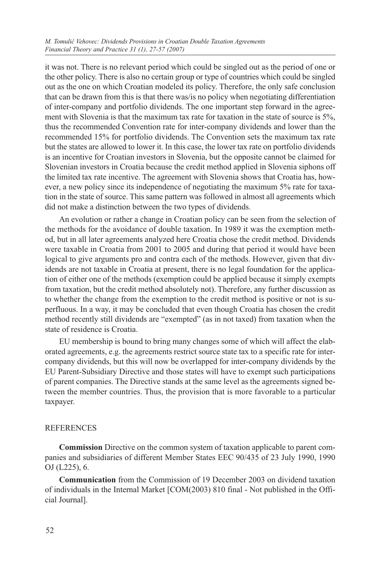it was not. There is no relevant period which could be singled out as the period of one or the other policy. There is also no certain group or type of countries which could be singled out as the one on which Croatian modeled its policy. Therefore, the only safe conclusion that can be drawn from this is that there was/is no policy when negotiating differentiation of inter-company and portfolio dividends. The one important step forward in the agreement with Slovenia is that the maximum tax rate for taxation in the state of source is 5%, thus the recommended Convention rate for inter-company dividends and lower than the recommended 15% for portfolio dividends. The Convention sets the maximum tax rate but the states are allowed to lower it. In this case, the lower tax rate on portfolio dividends is an incentive for Croatian investors in Slovenia, but the opposite cannot be claimed for Slovenian investors in Croatia because the credit method applied in Slovenia siphons off the limited tax rate incentive. The agreement with Slovenia shows that Croatia has, however, a new policy since its independence of negotiating the maximum 5% rate for taxation in the state of source. This same pattern was followed in almost all agreements which did not make a distinction between the two types of dividends.

An evolution or rather a change in Croatian policy can be seen from the selection of the methods for the avoidance of double taxation. In 1989 it was the exemption method, but in all later agreements analyzed here Croatia chose the credit method. Dividends were taxable in Croatia from 2001 to 2005 and during that period it would have been logical to give arguments pro and contra each of the methods. However, given that dividends are not taxable in Croatia at present, there is no legal foundation for the application of either one of the methods (exemption could be applied because it simply exempts from taxation, but the credit method absolutely not). Therefore, any further discussion as to whether the change from the exemption to the credit method is positive or not is superfluous. In a way, it may be concluded that even though Croatia has chosen the credit method recently still dividends are "exempted" (as in not taxed) from taxation when the state of residence is Croatia.

EU membership is bound to bring many changes some of which will affect the elaborated agreements, e.g. the agreements restrict source state tax to a specific rate for intercompany dividends, but this will now be overlapped for inter-company dividends by the EU Parent-Subsidiary Directive and those states will have to exempt such participations of parent companies. The Directive stands at the same level as the agreements signed between the member countries. Thus, the provision that is more favorable to a particular taxpayer.

#### REFERENCES

**Commission** Directive on the common system of taxation applicable to parent companies and subsidiaries of different Member States EEC 90/435 of 23 July 1990, 1990 OJ (L225), 6.

**Communication** from the Commission of 19 December 2003 on dividend taxation of individuals in the Internal Market [COM(2003) 810 final - Not published in the Official Journal].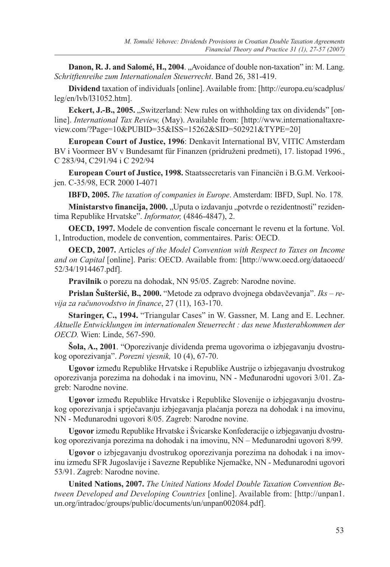**Danon, R. J. and Salomé, H., 2004.** "Avoidance of double non-taxation" in: M. Lang. *Schritftenreihe zum Internationalen Steuerrecht*. Band 26, 381-419.

**Dividend** taxation of individuals [online]. Available from: [http://europa.eu/scadplus/ leg/en/lvb/l31052.htm].

**Eckert, J.-B., 2005.** "Switzerland: New rules on withholding tax on dividends" [online]. *International Tax Review,* (May). Available from: [http://www.internationaltaxreview.com/?Page=10&PUBID=35&ISS=15262&SID=502921&TYPE=20]

**European Court of Justice, 1996**: Denkavit International BV, VITIC Amsterdam BV i Voormeer BV v Bundesamt für Finanzen (pridruženi predmeti), 17. listopad 1996., C 283/94, C291/94 i C 292/94

**European Court of Justice, 1998.** Staatssecretaris van Financiën i B.G.M. Verkooijen. C-35/98, ECR 2000 I-4071

**IBFD, 2005.** *The taxation of companies in Europe*. Amsterdam: IBFD, Supl. No. 178.

Ministarstvo financija, 2000. "Uputa o izdavanju "potvrde o rezidentnosti" rezidentima Republike Hrvatske". *Informator,* (4846-4847), 2.

**OECD, 1997.** Modele de convention fiscale concernant le revenu et la fortune. Vol. 1, Introduction, modele de convention, commentaires. Paris: OECD.

**OECD, 2007.** Articles *of the Model Convention with Respect to Taxes on Income and on Capital* [online]. Paris: OECD. Available from: [http://www.oecd.org/dataoecd/ 52/34/1914467.pdf].

**Pravilnik** o porezu na dohodak, NN 95/05. Zagreb: Narodne novine.

**Prislan Šušteršić, B., 2000.** "Metode za odpravo dvojnega obdavčevanja". *Iks – revija za računovodstvo in finance*, 27 (11), 163-170.

**Staringer, C., 1994.** "Triangular Cases" in W. Gassner, M. Lang and E. Lechner. *Aktuelle Entwicklungen im internationalen Steuerrecht : das neue Musterabkommen der OECD.* Wien: Linde, 567-590.

**Šola, A., 2001**. "Oporezivanje dividenda prema ugovorima o izbjegavanju dvostrukog oporezivanja". *Porezni vjesnik,* 10 (4), 67-70.

**Ugovor** između Republike Hrvatske i Republike Austrije o izbjegavanju dvostrukog oporezivanja porezima na dohodak i na imovinu, NN - Međunarodni ugovori 3/01. Zagreb: Narodne novine.

**Ugovor** između Republike Hrvatske i Republike Slovenije o izbjegavanju dvostrukog oporezivanja i sprječavanju izbjegavanja plaćanja poreza na dohodak i na imovinu, NN - Međunarodni ugovori 8/05. Zagreb: Narodne novine.

**Ugovor** između Republike Hrvatske i Švicarske Konfederacije o izbjegavanju dvostrukog oporezivanja porezima na dohodak i na imovinu, NN – Međunarodni ugovori 8/99.

**Ugovor** o izbjegavanju dvostrukog oporezivanja porezima na dohodak i na imovinu između SFR Jugoslavije i Savezne Republike Njemačke, NN - Međunarodni ugovori 53/91. Zagreb: Narodne novine.

**United Nations, 2007.** *The United Nations Model Double Taxation Convention Between Developed and Developing Countries* [online]. Available from: [http://unpan1. un.org/intradoc/groups/public/documents/un/unpan002084.pdf].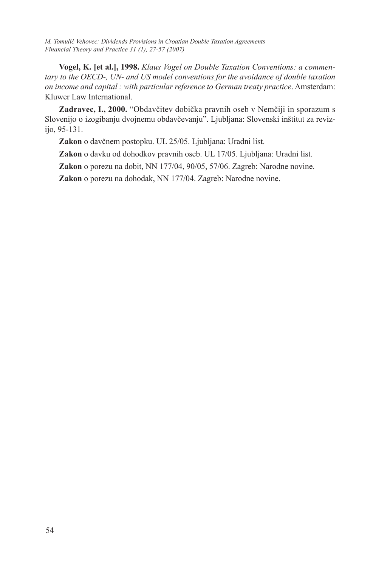**Vogel, K. [et al.], 1998.** *Klaus Vogel on Double Taxation Conventions: a commentary to the OECD-, UN- and US model conventions for the avoidance of double taxation on income and capital : with particular reference to German treaty practice*. Amsterdam: Kluwer Law International.

**Zadravec, I., 2000.** "Obdavčitev dobička pravnih oseb v Nemčiji in sporazum s Slovenijo o izogibanju dvojnemu obdavčevanju". Ljubljana: Slovenski inštitut za revizijo, 95-131.

**Zakon** o davčnem postopku. UL 25/05. Ljubljana: Uradni list.

**Zakon** o davku od dohodkov pravnih oseb. UL 17/05. Ljubljana: Uradni list.

**Zakon** o porezu na dobit, NN 177/04, 90/05, 57/06. Zagreb: Narodne novine.

**Zakon** o porezu na dohodak, NN 177/04. Zagreb: Narodne novine.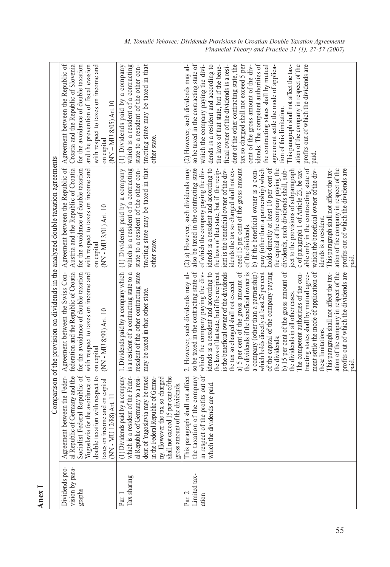|                                             |                                                                                                                                                                                                                                                                                              | Comparison of the provision on dividends in the analyzed double taxation agreements                                                                                                                                                                                                                                                                                                                                                                                                                                                                                                                                                                                                                                                                                                                                                                                                                 |                                                                                                                                                                                                                                                                                                                                                                                                                                                                                                                                                                                                                                                                                                                                                                                                                                                                                                                       |                                                                                                                                                                                                                                                                                                                                                                                                                                                                                                                                                                                                                                                                                   |
|---------------------------------------------|----------------------------------------------------------------------------------------------------------------------------------------------------------------------------------------------------------------------------------------------------------------------------------------------|-----------------------------------------------------------------------------------------------------------------------------------------------------------------------------------------------------------------------------------------------------------------------------------------------------------------------------------------------------------------------------------------------------------------------------------------------------------------------------------------------------------------------------------------------------------------------------------------------------------------------------------------------------------------------------------------------------------------------------------------------------------------------------------------------------------------------------------------------------------------------------------------------------|-----------------------------------------------------------------------------------------------------------------------------------------------------------------------------------------------------------------------------------------------------------------------------------------------------------------------------------------------------------------------------------------------------------------------------------------------------------------------------------------------------------------------------------------------------------------------------------------------------------------------------------------------------------------------------------------------------------------------------------------------------------------------------------------------------------------------------------------------------------------------------------------------------------------------|-----------------------------------------------------------------------------------------------------------------------------------------------------------------------------------------------------------------------------------------------------------------------------------------------------------------------------------------------------------------------------------------------------------------------------------------------------------------------------------------------------------------------------------------------------------------------------------------------------------------------------------------------------------------------------------|
| Dividends pro-<br>vision by para-<br>graphs | Agreement between the Feder-<br>al Republic of Germany and the<br>Socialist Federal Republic of<br>Yugoslavia for the avoidance of<br>double taxation with respect to<br>income and on capital<br>(NN - MU 12/88) Art. 11<br>taxes on i                                                      | Agreement between the Swiss Con-<br>federation and the Republic of Croatia<br>for the avoidance of double taxation<br>with respect to taxes on income and<br>(NN - MU 8/99) Art. 10<br>on capital                                                                                                                                                                                                                                                                                                                                                                                                                                                                                                                                                                                                                                                                                                   | Austria and the Republic of Croatia<br>Agreement between the Republic of<br>for the avoidance of double taxation<br>with respect to taxes on income and<br>(NN - MU 3/01) Art. 10<br>on capital                                                                                                                                                                                                                                                                                                                                                                                                                                                                                                                                                                                                                                                                                                                       | Agreement between the Republic of<br>Croatia and the Republic of Slovenia<br>for the avoidance of double taxation<br>and the prevention of fiscal evasion<br>with respect to taxes on income and<br>(NN-MU 8/05) Art.10<br>on capital                                                                                                                                                                                                                                                                                                                                                                                                                                             |
| Tax sharing<br>Par.                         | which is a resident of the Feder-<br>al Republic of Germany to a resi-<br>dent of Yugoslavia may be taxed<br>(1) Dividends paid by a company<br>shall not exceed 15 per cent of the<br>ny. However the tax so charged<br>in the Federal Republic of Germa-<br>gross amount of the dividends. | 1. Dividends paid by a company which<br>is a resident of a contracting state to a<br>resident of the other contracting state<br>may be taxed in that other state.                                                                                                                                                                                                                                                                                                                                                                                                                                                                                                                                                                                                                                                                                                                                   | tracting state may be taxed in that<br>which is a resident of a contracting<br>(1) Dividends paid by a company<br>state to a resident of the other con-<br>other state.                                                                                                                                                                                                                                                                                                                                                                                                                                                                                                                                                                                                                                                                                                                                               | which is a resident of a contracting<br>state to a resident of the other con-<br>tracting state may be taxed in that<br>(1) Dividends paid by a company<br>other state.                                                                                                                                                                                                                                                                                                                                                                                                                                                                                                           |
| Limited tax-<br>Par. 2<br>ation             | This paragraph shall not affect<br>the taxation of the company<br>in respect of the profits out of<br>which the dividends are paid.                                                                                                                                                          | so be taxed in the contracting state of<br>which the company paying the div-<br>idends is a resident and according to<br>2. However, such dividends may al-<br>b) 15 per cent of the gross amount of<br>ment settle the mode of application of<br>profits out of which the dividends are<br>the laws of that state, but if the recipient<br>is the beneficial owner of the dividends<br>a) 5 per cent of the gross amount of<br>The competent authorities of the con-<br>This paragraph shall not affect the tax-<br>ation of the company in respect of the<br>the dividends if the beneficial owner is<br>a company (other than a partnership)<br>which holds directly at least 25 per cent<br>of the capital of the company paying<br>tracting states shall by mutual agree-<br>the tax so charged shall not exceed:<br>the dividends in all other cases.<br>these limitations.<br>the dividends; | of which the company paying the div-<br>the laws of that state, but if the recip-<br>also be taxed in the contracting state<br>idends is a resident and according to<br>ient is the beneficial owner of the div-<br>holds directly at least 10 per cent of<br>the capital of the company paying the<br>able only in the contracting state of<br>pany (other than a partnership) which<br>ject to the provisions of subparagraph<br>c of paragraph 1 of Article 23, be tax-<br>(2) a) However, such dividends may<br>idends the tax so charged shall not ex-<br>b) If the beneficial owner is a com-<br>dividends, such dividends shall, sub-<br>which the beneficial owner of the div-<br>ation of the company in respect of the<br>ceed 15 per cent of the gross amount<br>profits out of which the dividends are<br>This paragraph shall not affect the tax-<br>idends is a resident.<br>of the dividends.<br>paid. | so be taxed in the contracting state of<br>idends. The competent authorities of<br>(2) However, such dividends may al-<br>which the company paying the divi-<br>dends is a resident and according to<br>ficial owner of the dividends is a resi-<br>dent of the other contracting state, the<br>cent of the gross amount of the div-<br>ation of the company in respect of the<br>the laws of that state, but if the bene-<br>tax so charged shall not exceed 5 per<br>This paragraph shall not affect the tax-<br>profits out of which the dividends are<br>agreement settle the mode of applica-<br>the contracting states shall by mutual<br>tion of this limitation.<br>paid. |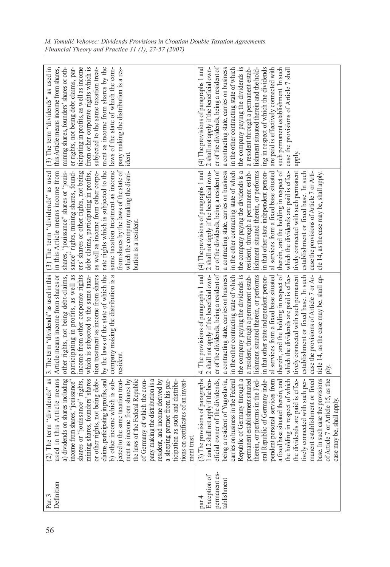| Definition<br>Par. 3                                  | erm "dividends" as<br>this Article means<br>a) dividends on shares including<br>income from shares, "jouissance"<br>ares, founders' shares<br>ights, not being debt-<br>claims, participating in profits, and $\vert$ b other income which is sub- $\vert$ is cited to the same taxation treat-<br>ment as income from shares by ment as income from shares by the laws of the Federal Republic<br>"jouissance" rights,<br>pany making the distribution is a<br>resident, and income derived by<br>a sleeping partner from his par-<br>ticipation as such and distribu-<br>tions on certificates of an invest-<br>of Germany of which the com-<br>ment trust.<br>mining sha<br>or other ri<br>$(2)$ The te<br>used in t<br>shares or                    | Article means income from shares or<br>by the laws of the state of which the<br>3. The term "dividends" as used in this<br>which is subjected to the same taxa-<br>income from other corporate rights<br>tion treatment as income from shares<br>company making the distribution is a<br>other rights, not being debt-claims,<br>participating in profits, as well as<br>resident.                                                                                                                                                                                                                                                                                                                                                                                                                                                                                    | in this Article means income from<br>rate rights which is subjected to the<br>same taxation treatment as income<br>(3) The term "dividends" as used<br>debt claims, participating in profits,<br>from shares by the laws of the state of<br>shares, "jouissance" shares or "jouis-<br>sance" rights, mining shares, found-<br>ers' shares or other rights, not being<br>as well as income from other corpo-<br>which the company making the distri-<br>pution is a resident                                                 | ticipating in profits, as well as income<br>subjected to the same taxation treat-<br>ment as income from shares by the<br>laws of the state of which the com-<br>(3) The term "dividends" as used in<br>mining shares, founders' shares or oth-<br>er rights, not being debt claims, par-<br>from other corporate rights which is<br>this Article means income from shares,<br>pany making the distribution is a res-<br>ident.                                                                                                  |
|-------------------------------------------------------|---------------------------------------------------------------------------------------------------------------------------------------------------------------------------------------------------------------------------------------------------------------------------------------------------------------------------------------------------------------------------------------------------------------------------------------------------------------------------------------------------------------------------------------------------------------------------------------------------------------------------------------------------------------------------------------------------------------------------------------------------------|-----------------------------------------------------------------------------------------------------------------------------------------------------------------------------------------------------------------------------------------------------------------------------------------------------------------------------------------------------------------------------------------------------------------------------------------------------------------------------------------------------------------------------------------------------------------------------------------------------------------------------------------------------------------------------------------------------------------------------------------------------------------------------------------------------------------------------------------------------------------------|-----------------------------------------------------------------------------------------------------------------------------------------------------------------------------------------------------------------------------------------------------------------------------------------------------------------------------------------------------------------------------------------------------------------------------------------------------------------------------------------------------------------------------|----------------------------------------------------------------------------------------------------------------------------------------------------------------------------------------------------------------------------------------------------------------------------------------------------------------------------------------------------------------------------------------------------------------------------------------------------------------------------------------------------------------------------------|
| permanent es-<br>Exception of<br>tablishment<br>par 4 | base. In such case the provisions<br>pendern personal services from $\begin{vmatrix} a \\ a \end{vmatrix}$ a fixed base situated therein, and $\begin{vmatrix} d \\ d \end{vmatrix}$ the holding in respect of which $\triangledown$ the dividends are paid is effec-<br>manent establishment or fixed<br>(3) The provisions of paragraphs<br>1 and 2 shall not apply if the ben-<br>eficial owner of the dividends,<br>tively connected with such per-<br>7 or Article 15, as the<br>therein, or performs in the Fed-<br>eral Republic of Germany inde-<br>being a resident of Yugoslavia,<br>carries on business in the Federal<br>Republic of Germany through a<br>establishment situated<br>be, shall apply.<br>permanent<br>of Article<br>case may | which the dividends are paid is effec- which the dividends are paid is effec-<br>therein, and the holding in respect of therein, and the holding in respect of<br>tively connected with such permanent   tively connected with such permanent<br>case the provisions of Article 7 or Ar- case the provisions of Article 7 or Arti-<br>establishment or fixed base. In such<br>4. The provisions of paragraphs 1 and<br>in that other state independent person-<br>ticle 14, as the case may be, shall ap-<br>er of the dividends, being a resident of<br>lishment situated therein, or performs<br>al services from a fixed base situated<br>2 shall not apply if the beneficial own-<br>in the other contracting state of which<br>the company paying the dividends is<br>a resident, through a permanent estab-<br>a contracting state, carries on business<br>ply. | $(4)$ The provisions of paragraphs 1 and<br>2 shall not apply if the beneficial own-<br>the company paying the dividends is a<br>in that other state independent person-<br>er of the dividends, being a resident of<br>in the other contracting state of which<br>lishment situated therein, or performs<br>al services from a fixed base situated<br>a contracting state, carries on business<br>resident, through a permanent estab-<br>establishment or fixed base. In such<br>cle 14, as the case may be, shall apply. | er of the dividends, being a resident of<br>in the other contracting state of which<br>ing in respect of which the dividends<br>(4) The provisions of paragraphs 1 and<br>2 shall not apply if the beneficial own-<br>a contracting state, carries on business<br>the company paying the dividends is<br>such permanent establishment. In such<br>a resident through a permanent estab-<br>lishment situated therein and the hold-<br>are paid is effectively connected with<br>case the provisions of Article 7 shall<br>apply. |